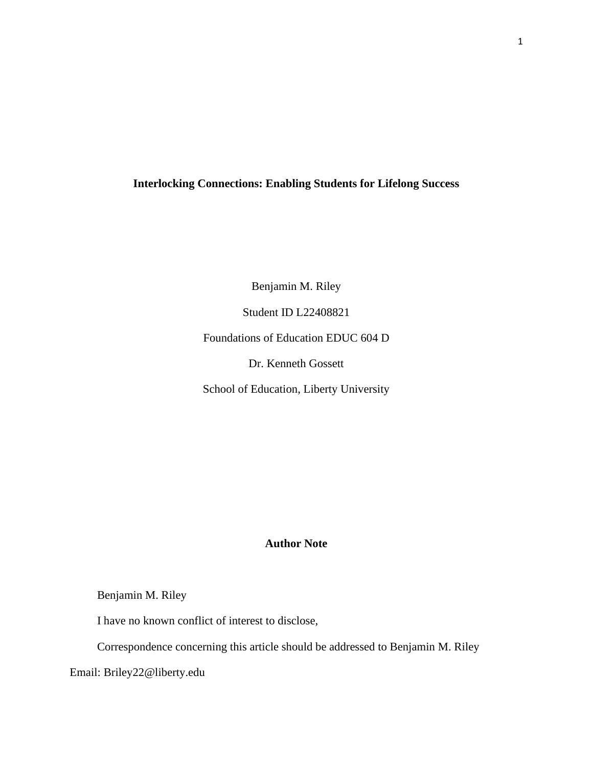## **Interlocking Connections: Enabling Students for Lifelong Success**

Benjamin M. Riley Student ID L22408821 Foundations of Education EDUC 604 D Dr. Kenneth Gossett School of Education, Liberty University

# **Author Note**

# Benjamin M. Riley

I have no known conflict of interest to disclose,

Correspondence concerning this article should be addressed to Benjamin M. Riley

Email: Briley22@liberty.edu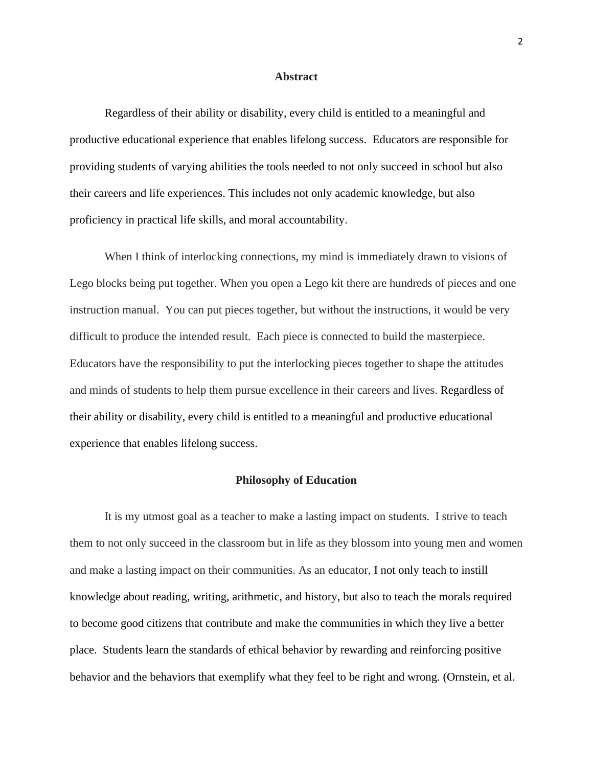### **Abstract**

Regardless of their ability or disability, every child is entitled to a meaningful and productive educational experience that enables lifelong success. Educators are responsible for providing students of varying abilities the tools needed to not only succeed in school but also their careers and life experiences. This includes not only academic knowledge, but also proficiency in practical life skills, and moral accountability.

When I think of interlocking connections, my mind is immediately drawn to visions of Lego blocks being put together. When you open a Lego kit there are hundreds of pieces and one instruction manual. You can put pieces together, but without the instructions, it would be very difficult to produce the intended result. Each piece is connected to build the masterpiece. Educators have the responsibility to put the interlocking pieces together to shape the attitudes and minds of students to help them pursue excellence in their careers and lives. Regardless of their ability or disability, every child is entitled to a meaningful and productive educational experience that enables lifelong success.

### **Philosophy of Education**

It is my utmost goal as a teacher to make a lasting impact on students. I strive to teach them to not only succeed in the classroom but in life as they blossom into young men and women and make a lasting impact on their communities. As an educator, I not only teach to instill knowledge about reading, writing, arithmetic, and history, but also to teach the morals required to become good citizens that contribute and make the communities in which they live a better place. Students learn the standards of ethical behavior by rewarding and reinforcing positive behavior and the behaviors that exemplify what they feel to be right and wrong. (Ornstein, et al.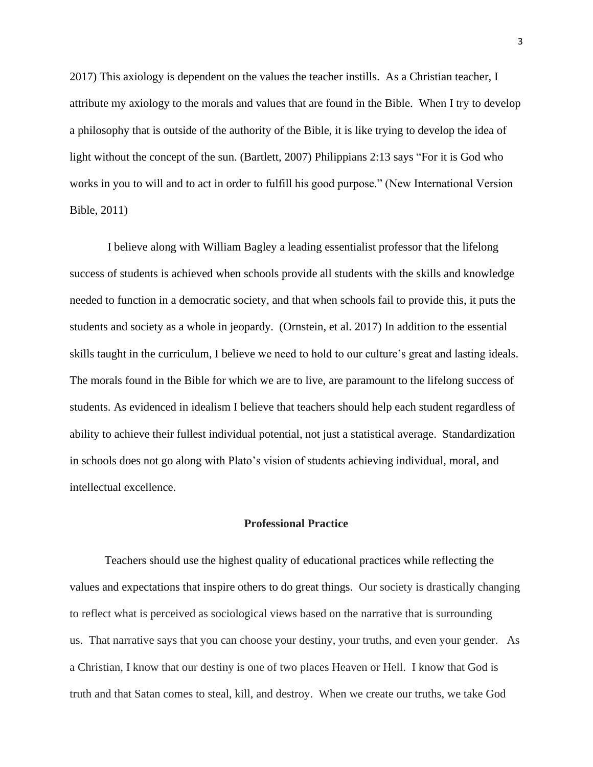2017) This axiology is dependent on the values the teacher instills. As a Christian teacher, I attribute my axiology to the morals and values that are found in the Bible. When I try to develop a philosophy that is outside of the authority of the Bible, it is like trying to develop the idea of light without the concept of the sun. (Bartlett, 2007) Philippians 2:13 says "For it is God who works in you to will and to act in order to fulfill his good purpose." (New International Version Bible, 2011)

I believe along with William Bagley a leading essentialist professor that the lifelong success of students is achieved when schools provide all students with the skills and knowledge needed to function in a democratic society, and that when schools fail to provide this, it puts the students and society as a whole in jeopardy. (Ornstein, et al. 2017) In addition to the essential skills taught in the curriculum, I believe we need to hold to our culture's great and lasting ideals. The morals found in the Bible for which we are to live, are paramount to the lifelong success of students. As evidenced in idealism I believe that teachers should help each student regardless of ability to achieve their fullest individual potential, not just a statistical average. Standardization in schools does not go along with Plato's vision of students achieving individual, moral, and intellectual excellence.

## **Professional Practice**

Teachers should use the highest quality of educational practices while reflecting the values and expectations that inspire others to do great things. Our society is drastically changing to reflect what is perceived as sociological views based on the narrative that is surrounding us. That narrative says that you can choose your destiny, your truths, and even your gender. As a Christian, I know that our destiny is one of two places Heaven or Hell. I know that God is truth and that Satan comes to steal, kill, and destroy. When we create our truths, we take God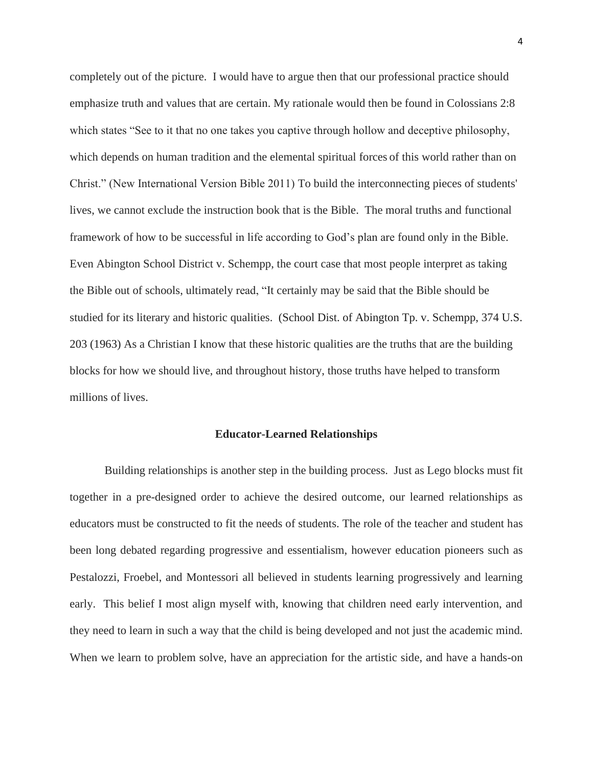completely out of the picture. I would have to argue then that our professional practice should emphasize truth and values that are certain. My rationale would then be found in Colossians 2:8 which states "See to it that no one takes you captive through hollow and deceptive philosophy, which depends on human tradition and the elemental spiritual forces of this world rather than on Christ." (New International Version Bible 2011) To build the interconnecting pieces of students' lives, we cannot exclude the instruction book that is the Bible. The moral truths and functional framework of how to be successful in life according to God's plan are found only in the Bible. Even Abington School District v. Schempp, the court case that most people interpret as taking the Bible out of schools, ultimately read, "It certainly may be said that the Bible should be studied for its literary and historic qualities. (School Dist. of Abington Tp. v. Schempp, 374 U.S. 203 (1963) As a Christian I know that these historic qualities are the truths that are the building blocks for how we should live, and throughout history, those truths have helped to transform millions of lives.

#### **Educator-Learned Relationships**

Building relationships is another step in the building process. Just as Lego blocks must fit together in a pre-designed order to achieve the desired outcome, our learned relationships as educators must be constructed to fit the needs of students. The role of the teacher and student has been long debated regarding progressive and essentialism, however education pioneers such as Pestalozzi, Froebel, and Montessori all believed in students learning progressively and learning early. This belief I most align myself with, knowing that children need early intervention, and they need to learn in such a way that the child is being developed and not just the academic mind. When we learn to problem solve, have an appreciation for the artistic side, and have a hands-on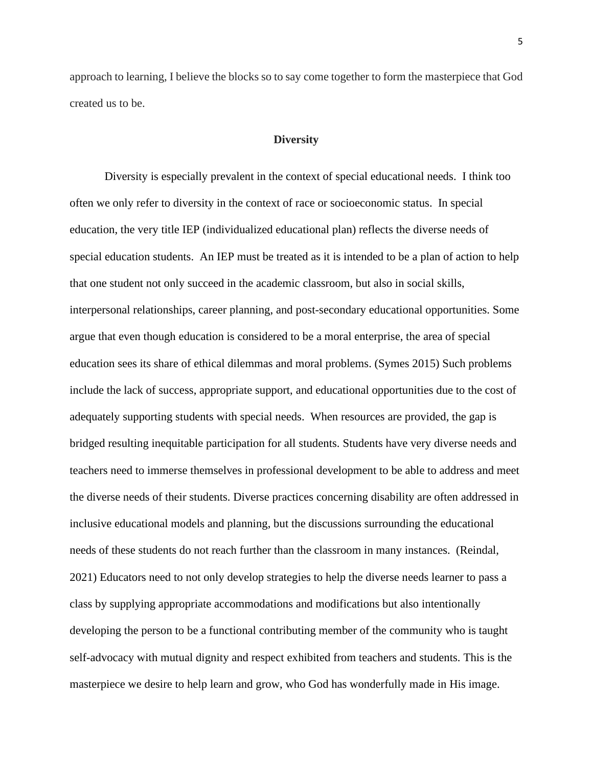approach to learning, I believe the blocks so to say come together to form the masterpiece that God created us to be.

### **Diversity**

Diversity is especially prevalent in the context of special educational needs. I think too often we only refer to diversity in the context of race or socioeconomic status. In special education, the very title IEP (individualized educational plan) reflects the diverse needs of special education students. An IEP must be treated as it is intended to be a plan of action to help that one student not only succeed in the academic classroom, but also in social skills, interpersonal relationships, career planning, and post-secondary educational opportunities. Some argue that even though education is considered to be a moral enterprise, the area of special education sees its share of ethical dilemmas and moral problems. (Symes 2015) Such problems include the lack of success, appropriate support, and educational opportunities due to the cost of adequately supporting students with special needs. When resources are provided, the gap is bridged resulting inequitable participation for all students. Students have very diverse needs and teachers need to immerse themselves in professional development to be able to address and meet the diverse needs of their students. Diverse practices concerning disability are often addressed in inclusive educational models and planning, but the discussions surrounding the educational needs of these students do not reach further than the classroom in many instances. (Reindal, 2021) Educators need to not only develop strategies to help the diverse needs learner to pass a class by supplying appropriate accommodations and modifications but also intentionally developing the person to be a functional contributing member of the community who is taught self-advocacy with mutual dignity and respect exhibited from teachers and students. This is the masterpiece we desire to help learn and grow, who God has wonderfully made in His image.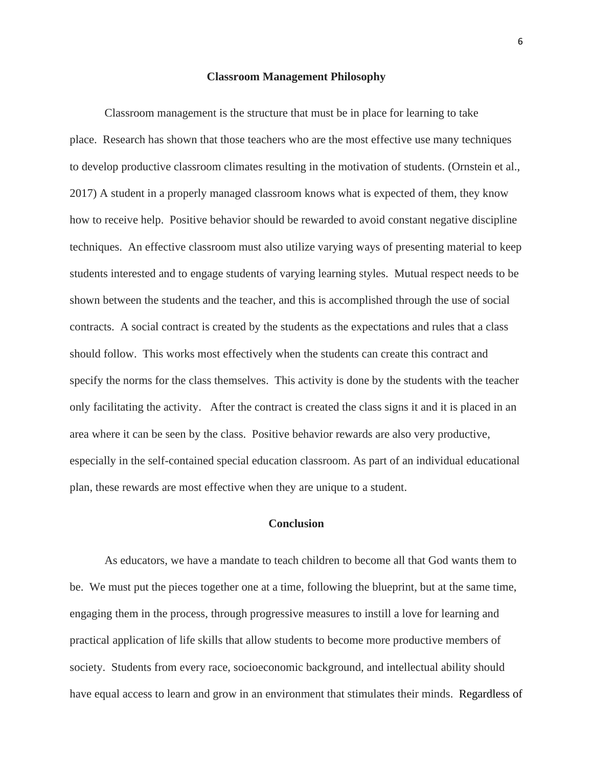#### **Classroom Management Philosophy**

Classroom management is the structure that must be in place for learning to take place. Research has shown that those teachers who are the most effective use many techniques to develop productive classroom climates resulting in the motivation of students. (Ornstein et al., 2017) A student in a properly managed classroom knows what is expected of them, they know how to receive help. Positive behavior should be rewarded to avoid constant negative discipline techniques. An effective classroom must also utilize varying ways of presenting material to keep students interested and to engage students of varying learning styles. Mutual respect needs to be shown between the students and the teacher, and this is accomplished through the use of social contracts. A social contract is created by the students as the expectations and rules that a class should follow. This works most effectively when the students can create this contract and specify the norms for the class themselves. This activity is done by the students with the teacher only facilitating the activity. After the contract is created the class signs it and it is placed in an area where it can be seen by the class. Positive behavior rewards are also very productive, especially in the self-contained special education classroom. As part of an individual educational plan, these rewards are most effective when they are unique to a student.

## **Conclusion**

As educators, we have a mandate to teach children to become all that God wants them to be. We must put the pieces together one at a time, following the blueprint, but at the same time, engaging them in the process, through progressive measures to instill a love for learning and practical application of life skills that allow students to become more productive members of society. Students from every race, socioeconomic background, and intellectual ability should have equal access to learn and grow in an environment that stimulates their minds. Regardless of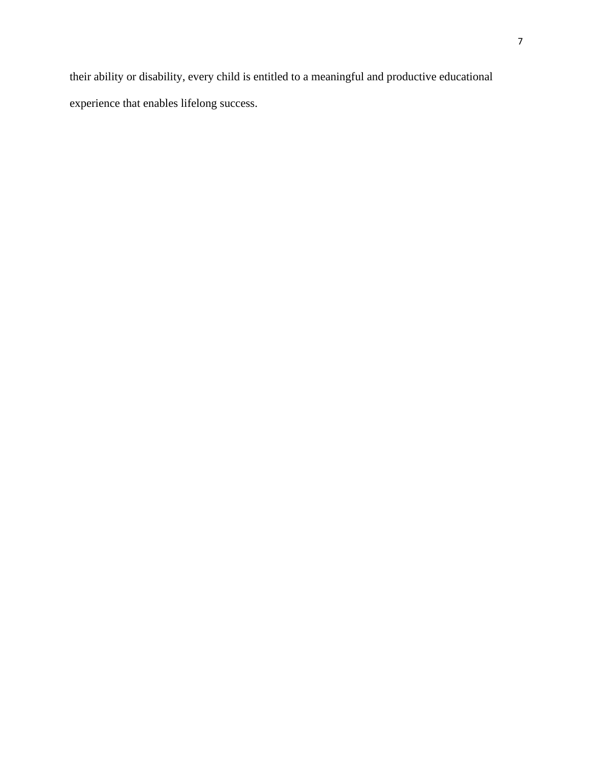their ability or disability, every child is entitled to a meaningful and productive educational experience that enables lifelong success.